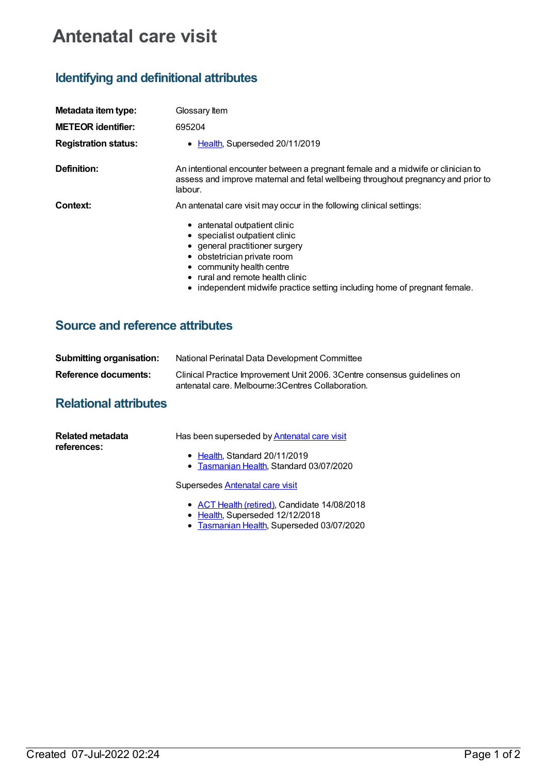# **Antenatal care visit**

## **Identifying and definitional attributes**

| Metadata item type:         | Glossary Item                                                                                                                                                                                                                                                              |
|-----------------------------|----------------------------------------------------------------------------------------------------------------------------------------------------------------------------------------------------------------------------------------------------------------------------|
| <b>METEOR identifier:</b>   | 695204                                                                                                                                                                                                                                                                     |
| <b>Registration status:</b> | • Health, Superseded 20/11/2019                                                                                                                                                                                                                                            |
| Definition:                 | An intentional encounter between a pregnant female and a midwife or clinician to<br>assess and improve maternal and fetal wellbeing throughout pregnancy and prior to<br>labour.                                                                                           |
| Context:                    | An antenatal care visit may occur in the following clinical settings:<br>• antenatal outpatient clinic<br>• specialist outpatient clinic<br>• general practitioner surgery<br>• obstetrician private room<br>• community health centre<br>• rural and remote health clinic |

#### • independent midwife practice setting including home of pregnant female.

### **Source and reference attributes**

| Submitting organisation: | National Perinatal Data Development Committee                                                                                    |
|--------------------------|----------------------------------------------------------------------------------------------------------------------------------|
| Reference documents:     | Clinical Practice Improvement Unit 2006. 3 Centre consensus quidelines on<br>antenatal care. Melbourne: 3 Centres Collaboration. |

## **Relational attributes**

| Related metadata<br>references: | Has been superseded by Antenatal care visit                              |
|---------------------------------|--------------------------------------------------------------------------|
|                                 | • Health, Standard 20/11/2019<br>• Tasmanian Health, Standard 03/07/2020 |
|                                 | Supersedes Antenatal care visit                                          |

- ACT Health [\(retired\)](https://meteor.aihw.gov.au/RegistrationAuthority/9), Candidate 14/08/2018
- · [Health](https://meteor.aihw.gov.au/RegistrationAuthority/12), Superseded 12/12/2018
- [Tasmanian](https://meteor.aihw.gov.au/RegistrationAuthority/15) Health, Superseded 03/07/2020